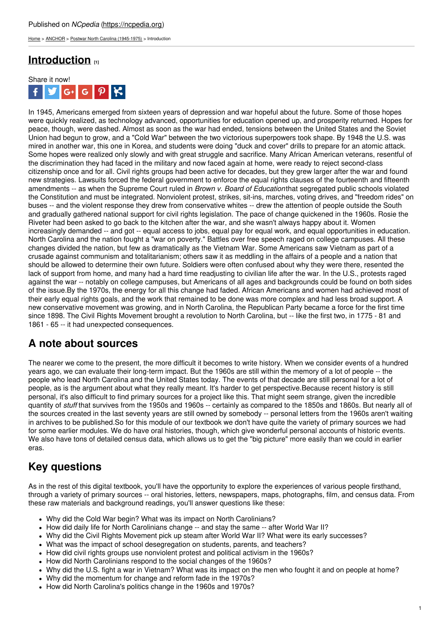[Home](https://ncpedia.org/) > [ANCHOR](https://ncpedia.org/anchor/anchor) > Postwar North Carolina [\(1945-1975\)](https://ncpedia.org/anchor/postwar-north-carolina-1945) > Introduction

# **[Introduction](https://ncpedia.org/anchor/introduction-0) [1]**



In 1945, Americans emerged from sixteen years of depression and war hopeful about the future. Some of those hopes were quickly realized, as technology advanced, opportunities for education opened up, and prosperity returned. Hopes for peace, though, were dashed. Almost as soon as the war had ended, tensions between the United States and the Soviet Union had begun to grow, and a "Cold War" between the two victorious superpowers took shape. By 1948 the U.S. was mired in another war, this one in Korea, and students were doing "duck and cover" drills to prepare for an atomic attack. Some hopes were realized only slowly and with great struggle and sacrifice. Many African American veterans, resentful of the discrimination they had faced in the military and now faced again at home, were ready to reject second-class citizenship once and for all. Civil rights groups had been active for decades, but they grew larger after the war and found new strategies. Lawsuits forced the federal government to enforce the equal rights clauses of the fourteenth and fifteenth amendments -- as when the Supreme Court ruled in *Brown v. Board of Education*that segregated public schools violated the Constitution and must be integrated. [Nonviolent](http://www.social9.com) protest, strikes, sit-ins, marches, voting drives, and "freedom rides" on buses -- and the violent response they drew from conservative whites -- drew the attention of people outside the South and gradually gathered national support for civil rights legislation. The pace of change quickened in the 1960s. Rosie the Riveter had been asked to go back to the kitchen after the war, and she wasn't always happy about it. Women increasingly demanded -- and got -- equal access to jobs, equal pay for equal work, and equal opportunities in education. North Carolina and the nation fought a "war on poverty." Battles over free speech raged on college campuses. All these changes divided the nation, but few as dramatically as the Vietnam War. Some Americans saw Vietnam as part of a crusade against communism and totalitarianism; others saw it as meddling in the affairs of a people and a nation that should be allowed to determine their own future. Soldiers were often confused about why they were there, resented the lack of support from home, and many had a hard time readjusting to civilian life after the war. In the U.S., protests raged against the war -- notably on college campuses, but Americans of all ages and backgrounds could be found on both sides of the issue.By the 1970s, the energy for all this change had faded. African Americans and women had achieved most of their early equal rights goals, and the work that remained to be done was more complex and had less broad support. A new conservative movement was growing, and in North Carolina, the Republican Party became a force for the first time since 1898. The Civil Rights Movement brought a revolution to North Carolina, but -- like the first two, in 1775 - 81 and 1861 - 65 -- it had unexpected consequences.

### **A note about sources**

The nearer we come to the present, the more difficult it becomes to write history. When we consider events of a hundred years ago, we can evaluate their long-term impact. But the 1960s are still within the memory of a lot of people -- the people who lead North Carolina and the United States today. The events of that decade are still personal for a lot of people, as is the argument about what they really meant. It's harder to get perspective.Because recent history is still personal, it's also difficult to find primary sources for a project like this. That might seem strange, given the incredible quantity of *stuff* that survives from the 1950s and 1960s -- certainly as compared to the 1850s and 1860s. But nearly all of the sources created in the last seventy years are still owned by somebody -- personal letters from the 1960s aren't waiting in archives to be published.So for this module of our textbook we don't have quite the variety of primary sources we had for some earlier modules. We do have oral histories, though, which give wonderful personal accounts of historic events. We also have tons of detailed census data, which allows us to get the "big picture" more easily than we could in earlier eras.

# **Key questions**

As in the rest of this digital textbook, you'll have the opportunity to explore the experiences of various people firsthand, through a variety of primary sources -- oral histories, letters, newspapers, maps, photographs, film, and census data. From these raw materials and background readings, you'll answer questions like these:

- Why did the Cold War begin? What was its impact on North Carolinians?
- How did daily life for North Carolinians change -- and stay the same -- after World War II?
- Why did the Civil Rights Movement pick up steam after World War II? What were its early successes?
- What was the impact of school desegregation on students, parents, and teachers?
- How did civil rights groups use nonviolent protest and political activism in the 1960s?
- How did North Carolinians respond to the social changes of the 1960s?
- Why did the U.S. fight a war in Vietnam? What was its impact on the men who fought it and on people at home?
- Why did the momentum for change and reform fade in the 1970s?
- How did North Carolina's politics change in the 1960s and 1970s?